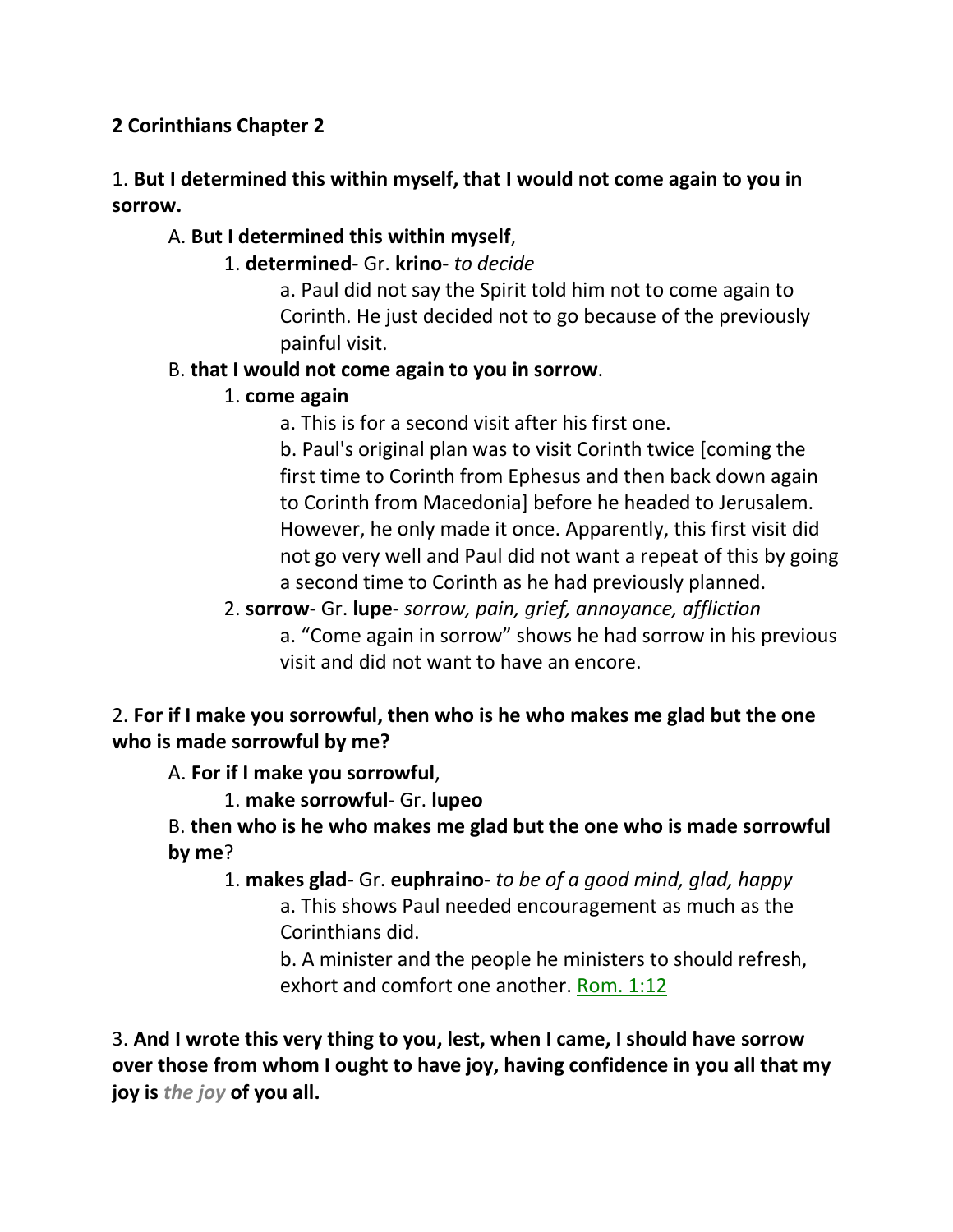# **2 Corinthians Chapter 2**

# 1. **But I determined this within myself, that I would not come again to you in sorrow.**

# A. **But I determined this within myself**,

1. **determined**- Gr. **krino**- *to decide*

a. Paul did not say the Spirit told him not to come again to Corinth. He just decided not to go because of the previously painful visit.

### B. **that I would not come again to you in sorrow**.

### 1. **come again**

a. This is for a second visit after his first one.

b. Paul's original plan was to visit Corinth twice [coming the first time to Corinth from Ephesus and then back down again to Corinth from Macedonia] before he headed to Jerusalem. However, he only made it once. Apparently, this first visit did not go very well and Paul did not want a repeat of this by going a second time to Corinth as he had previously planned.

2. **sorrow**- Gr. **lupe**- *sorrow, pain, grief, annoyance, affliction* a. "Come again in sorrow" shows he had sorrow in his previous visit and did not want to have an encore.

# 2. **For if I make you sorrowful, then who is he who makes me glad but the one who is made sorrowful by me?**

A. **For if I make you sorrowful**,

1. **make sorrowful**- Gr. **lupeo**

B. **then who is he who makes me glad but the one who is made sorrowful by me**?

1. **makes glad**- Gr. **euphraino**- *to be of a good mind, glad, happy* a. This shows Paul needed encouragement as much as the Corinthians did.

b. A minister and the people he ministers to should refresh, exhort and comfort one another. Rom. 1:12

3. **And I wrote this very thing to you, lest, when I came, I should have sorrow over those from whom I ought to have joy, having confidence in you all that my joy is** *the joy* **of you all.**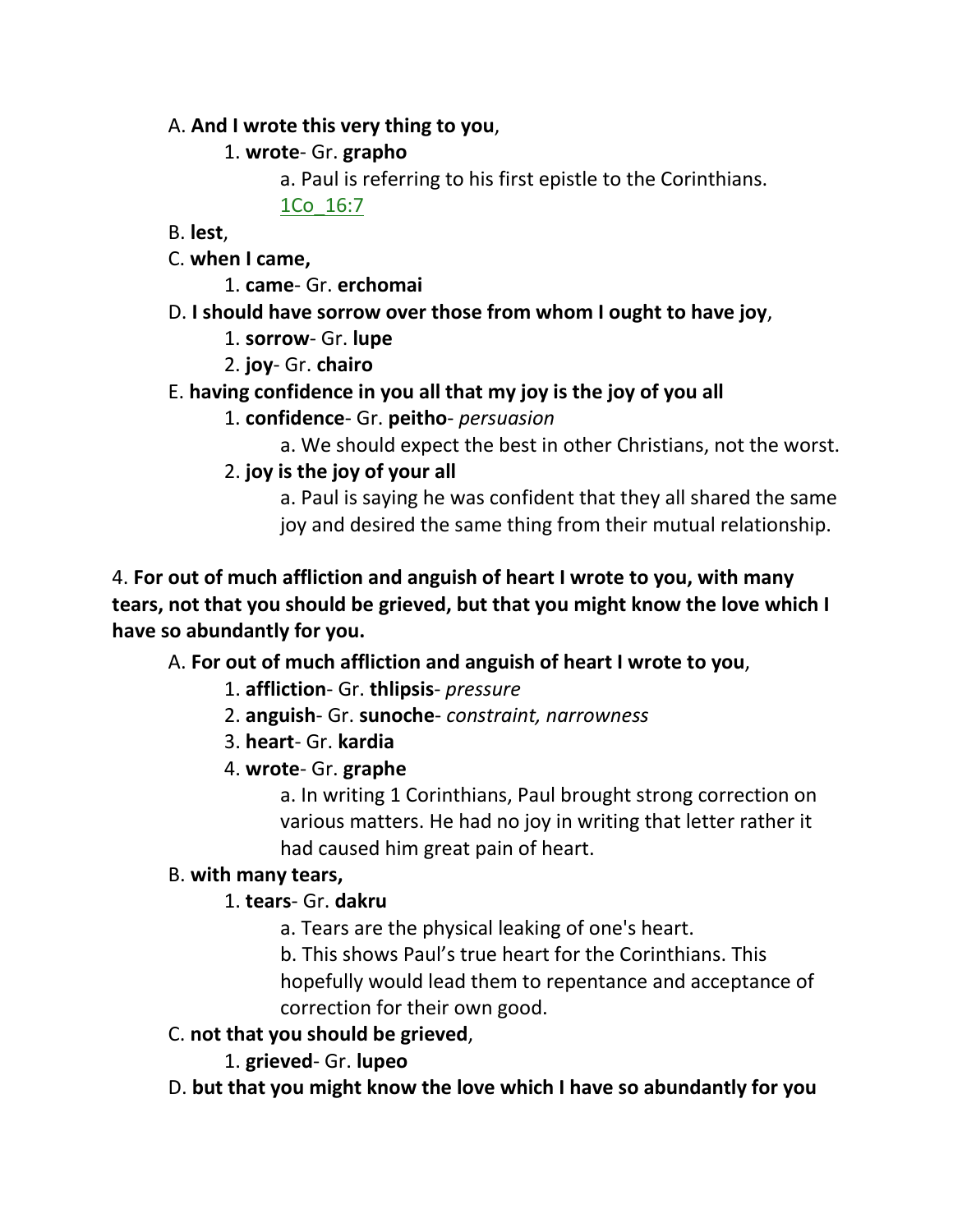### A. **And I wrote this very thing to you**,

# 1. **wrote**- Gr. **grapho**

a. Paul is referring to his first epistle to the Corinthians.

1Co\_16:7

B. **lest**,

- C. **when I came,**
	- 1. **came** Gr. **erchomai**
- D. **I should have sorrow over those from whom I ought to have joy**,
	- 1. **sorrow** Gr. **lupe**
	- 2. **joy** Gr. **chairo**
- E. **having confidence in you all that my joy is the joy of you all**
	- 1. **confidence** Gr. **peitho** *persuasion*
		- a. We should expect the best in other Christians, not the worst.
	- 2. **joy is the joy of your all**
		- a. Paul is saying he was confident that they all shared the same joy and desired the same thing from their mutual relationship.

4. **For out of much affliction and anguish of heart I wrote to you, with many tears, not that you should be grieved, but that you might know the love which I have so abundantly for you.** 

# A. **For out of much affliction and anguish of heart I wrote to you**,

- 1. **affliction** Gr. **thlipsis** *pressure*
- 2. **anguish** Gr. **sunoche** *constraint, narrowness*
- 3. **heart** Gr. **kardia**
- 4. **wrote** Gr. **graphe**

a. In writing 1 Corinthians, Paul brought strong correction on various matters. He had no joy in writing that letter rather it had caused him great pain of heart.

# B. **with many tears,**

# 1. **tears**- Gr. **dakru**

- a. Tears are the physical leaking of one's heart.
- b. This shows Paul's true heart for the Corinthians. This hopefully would lead them to repentance and acceptance of correction for their own good.
- C. **not that you should be grieved**,
	- 1. **grieved** Gr. **lupeo**
- D. **but that you might know the love which I have so abundantly for you**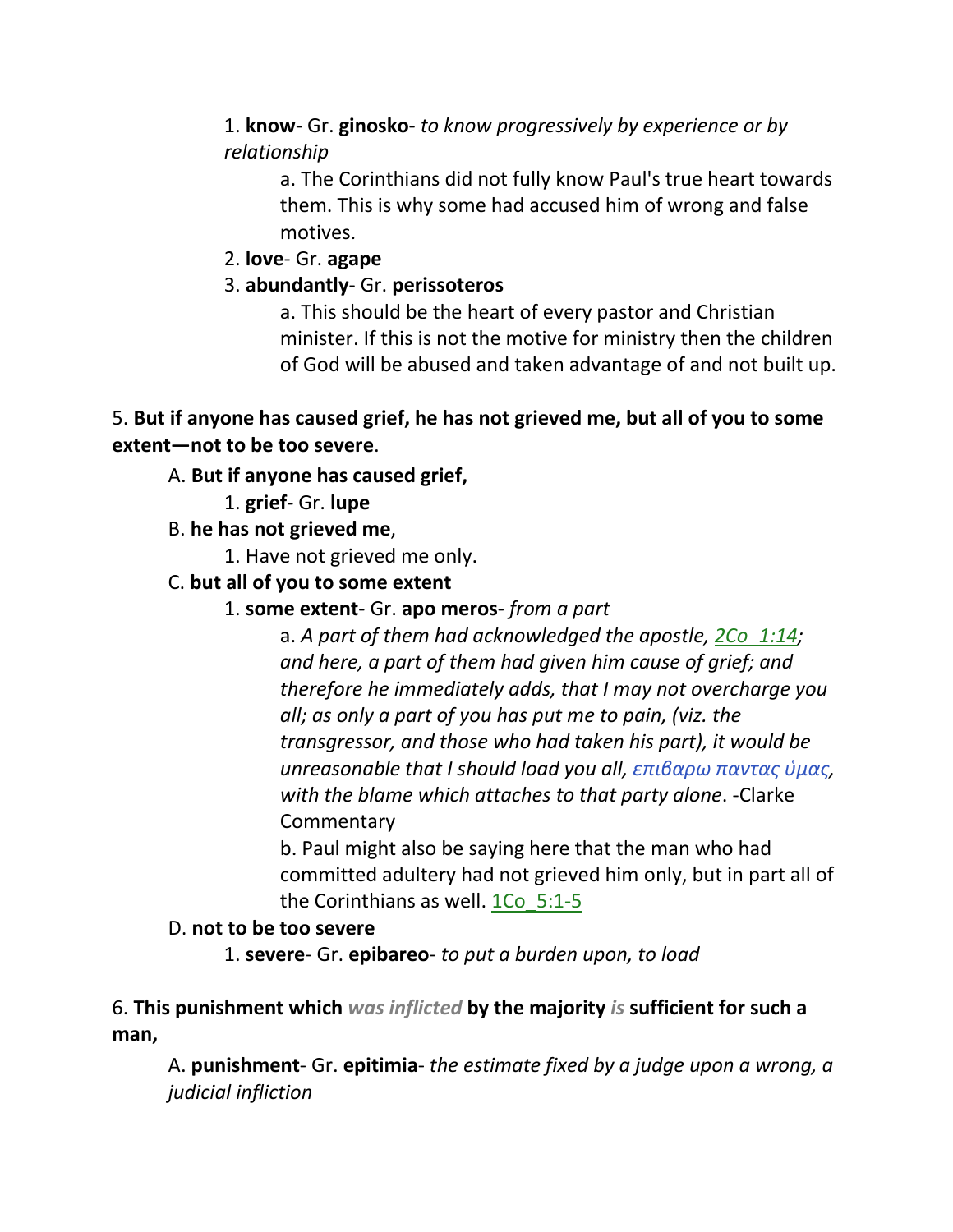# 1. **know**- Gr. **ginosko**- *to know progressively by experience or by relationship*

a. The Corinthians did not fully know Paul's true heart towards them. This is why some had accused him of wrong and false motives.

# 2. **love**- Gr. **agape**

# 3. **abundantly**- Gr. **perissoteros**

a. This should be the heart of every pastor and Christian minister. If this is not the motive for ministry then the children of God will be abused and taken advantage of and not built up.

# 5. **But if anyone has caused grief, he has not grieved me, but all of you to some extent—not to be too severe**.

# A. **But if anyone has caused grief,**

- 1. **grief** Gr. **lupe**
- B. **he has not grieved me**,
	- 1. Have not grieved me only.
- C. **but all of you to some extent**
	- 1. **some extent** Gr. **apo meros** *from a part*

a. *A part of them had acknowledged the apostle, 2Co\_1:14; and here, a part of them had given him cause of grief; and therefore he immediately adds, that I may not overcharge you all; as only a part of you has put me to pain, (viz. the transgressor, and those who had taken his part), it would be unreasonable that I should load you all, επιβαρω παντας ὑμας, with the blame which attaches to that party alone*. -Clarke **Commentary** 

b. Paul might also be saying here that the man who had committed adultery had not grieved him only, but in part all of the Corinthians as well. 1Co\_5:1-5

# D. **not to be too severe**

1. **severe**- Gr. **epibareo**- *to put a burden upon, to load*

6. **This punishment which** *was inflicted* **by the majority** *is* **sufficient for such a man,** 

A. **punishment**- Gr. **epitimia**- *the estimate fixed by a judge upon a wrong, a judicial infliction*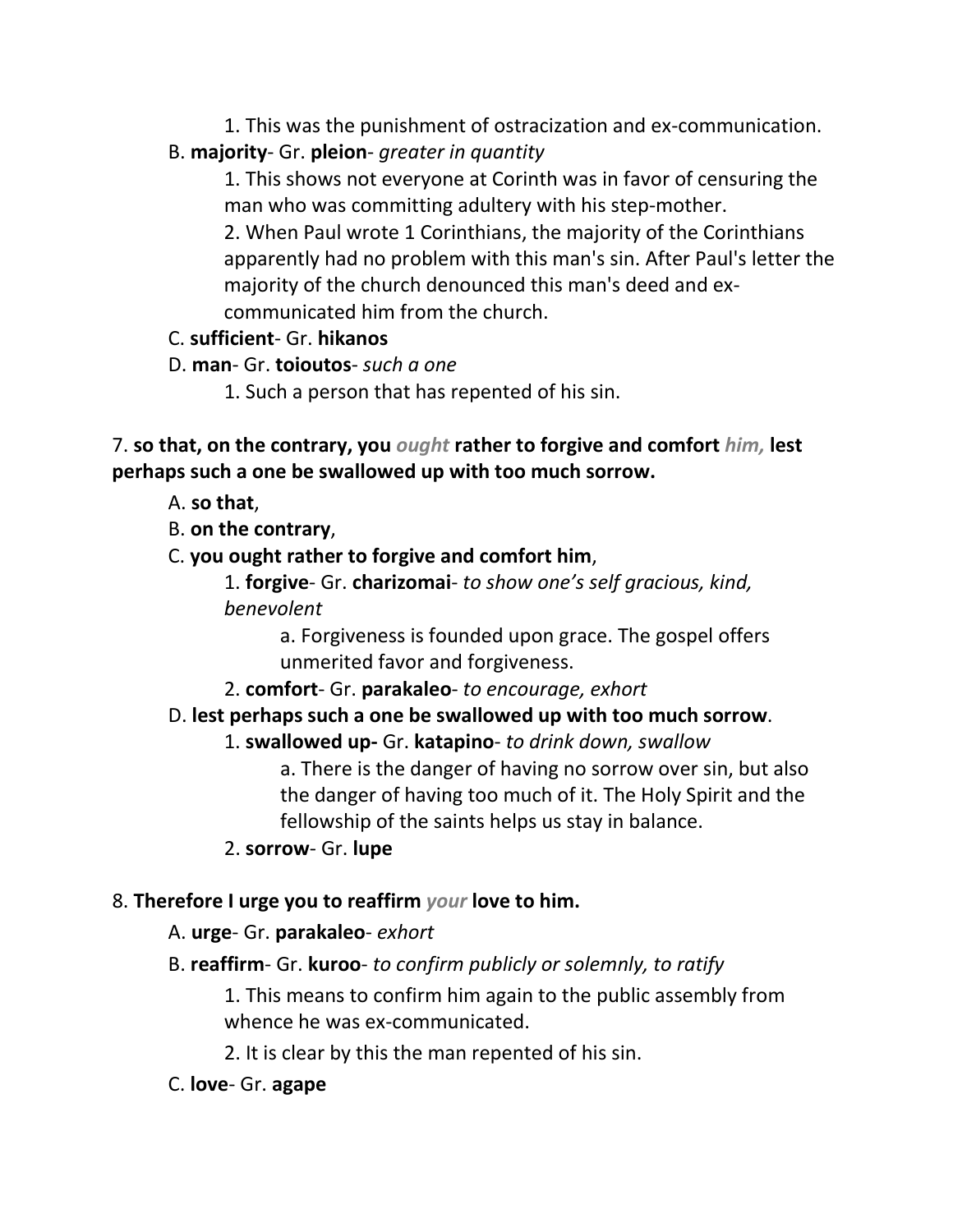1. This was the punishment of ostracization and ex-communication. B. **majority**- Gr. **pleion**- *greater in quantity*

1. This shows not everyone at Corinth was in favor of censuring the man who was committing adultery with his step-mother.

2. When Paul wrote 1 Corinthians, the majority of the Corinthians apparently had no problem with this man's sin. After Paul's letter the majority of the church denounced this man's deed and excommunicated him from the church.

# C. **sufficient**- Gr. **hikanos**

- D. **man** Gr. **toioutos** *such a one*
	- 1. Such a person that has repented of his sin.

7. **so that, on the contrary, you** *ought* **rather to forgive and comfort** *him,* **lest perhaps such a one be swallowed up with too much sorrow.**

- A. **so that**,
- B. **on the contrary**,
- C. **you ought rather to forgive and comfort him**,

1. **forgive**- Gr. **charizomai**- *to show one's self gracious, kind, benevolent*

> a. Forgiveness is founded upon grace. The gospel offers unmerited favor and forgiveness.

2. **comfort**- Gr. **parakaleo**- *to encourage, exhort*

# D. **lest perhaps such a one be swallowed up with too much sorrow**.

# 1. **swallowed up-** Gr. **katapino**- *to drink down, swallow*

a. There is the danger of having no sorrow over sin, but also the danger of having too much of it. The Holy Spirit and the fellowship of the saints helps us stay in balance.

2. **sorrow**- Gr. **lupe**

# 8. **Therefore I urge you to reaffirm** *your* **love to him.**

# A. **urge**- Gr. **parakaleo**- *exhort*

B. **reaffirm**- Gr. **kuroo**- *to confirm publicly or solemnly, to ratify*

1. This means to confirm him again to the public assembly from whence he was ex-communicated.

2. It is clear by this the man repented of his sin.

# C. **love**- Gr. **agape**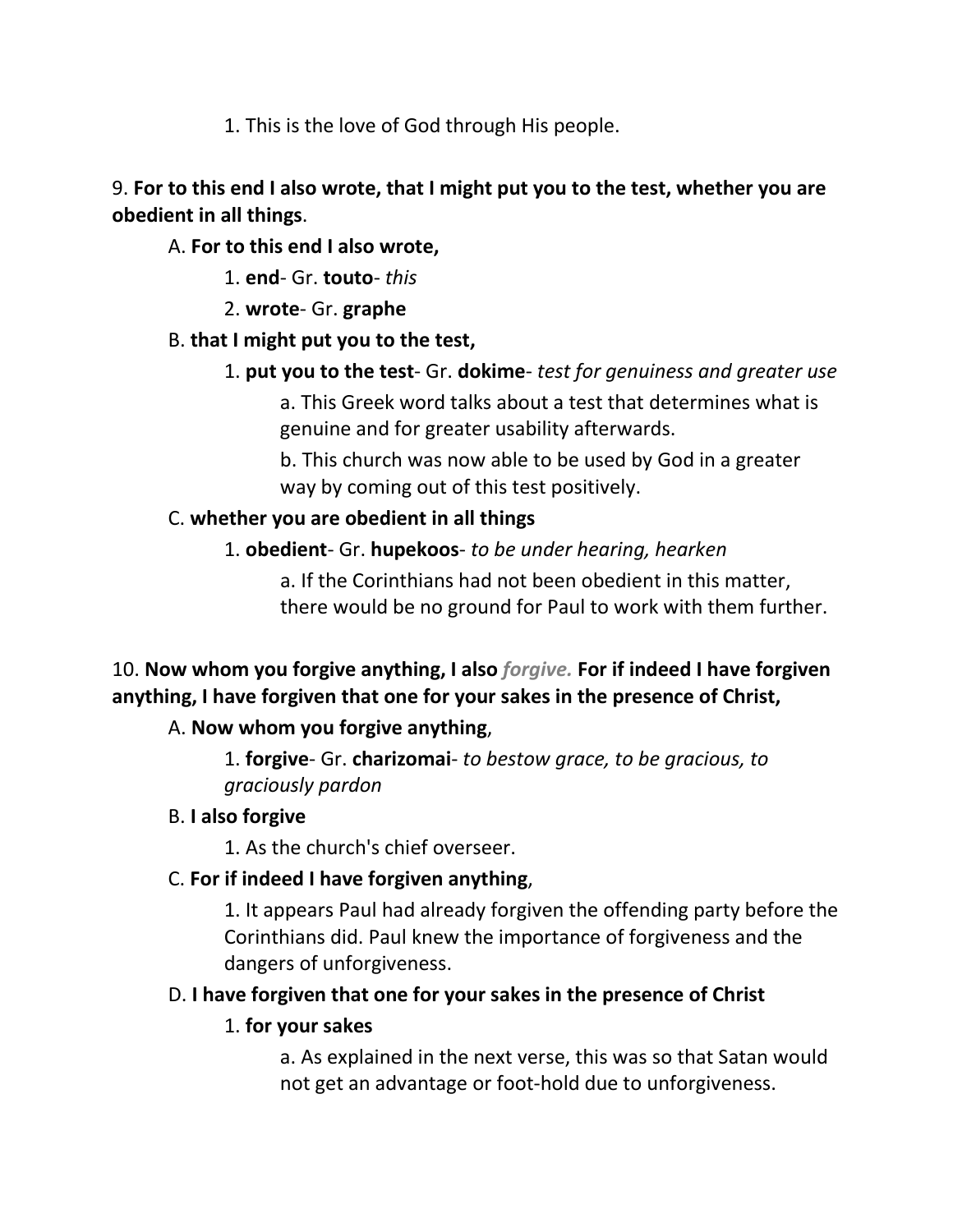1. This is the love of God through His people.

# 9. **For to this end I also wrote, that I might put you to the test, whether you are obedient in all things**.

# A. **For to this end I also wrote,**

- 1. **end** Gr. **touto** *this*
- 2. **wrote** Gr. **graphe**

# B. **that I might put you to the test,**

1. **put you to the test**- Gr. **dokime**- *test for genuiness and greater use*

a. This Greek word talks about a test that determines what is genuine and for greater usability afterwards.

b. This church was now able to be used by God in a greater way by coming out of this test positively.

# C. **whether you are obedient in all things**

1. **obedient**- Gr. **hupekoos**- *to be under hearing, hearken*

a. If the Corinthians had not been obedient in this matter, there would be no ground for Paul to work with them further.

# 10. **Now whom you forgive anything, I also** *forgive.* **For if indeed I have forgiven anything, I have forgiven that one for your sakes in the presence of Christ,**

# A. **Now whom you forgive anything**,

1. **forgive**- Gr. **charizomai**- *to bestow grace, to be gracious, to graciously pardon*

# B. **I also forgive**

1. As the church's chief overseer.

# C. **For if indeed I have forgiven anything**,

1. It appears Paul had already forgiven the offending party before the Corinthians did. Paul knew the importance of forgiveness and the dangers of unforgiveness.

# D. **I have forgiven that one for your sakes in the presence of Christ**

# 1. **for your sakes**

a. As explained in the next verse, this was so that Satan would not get an advantage or foot-hold due to unforgiveness.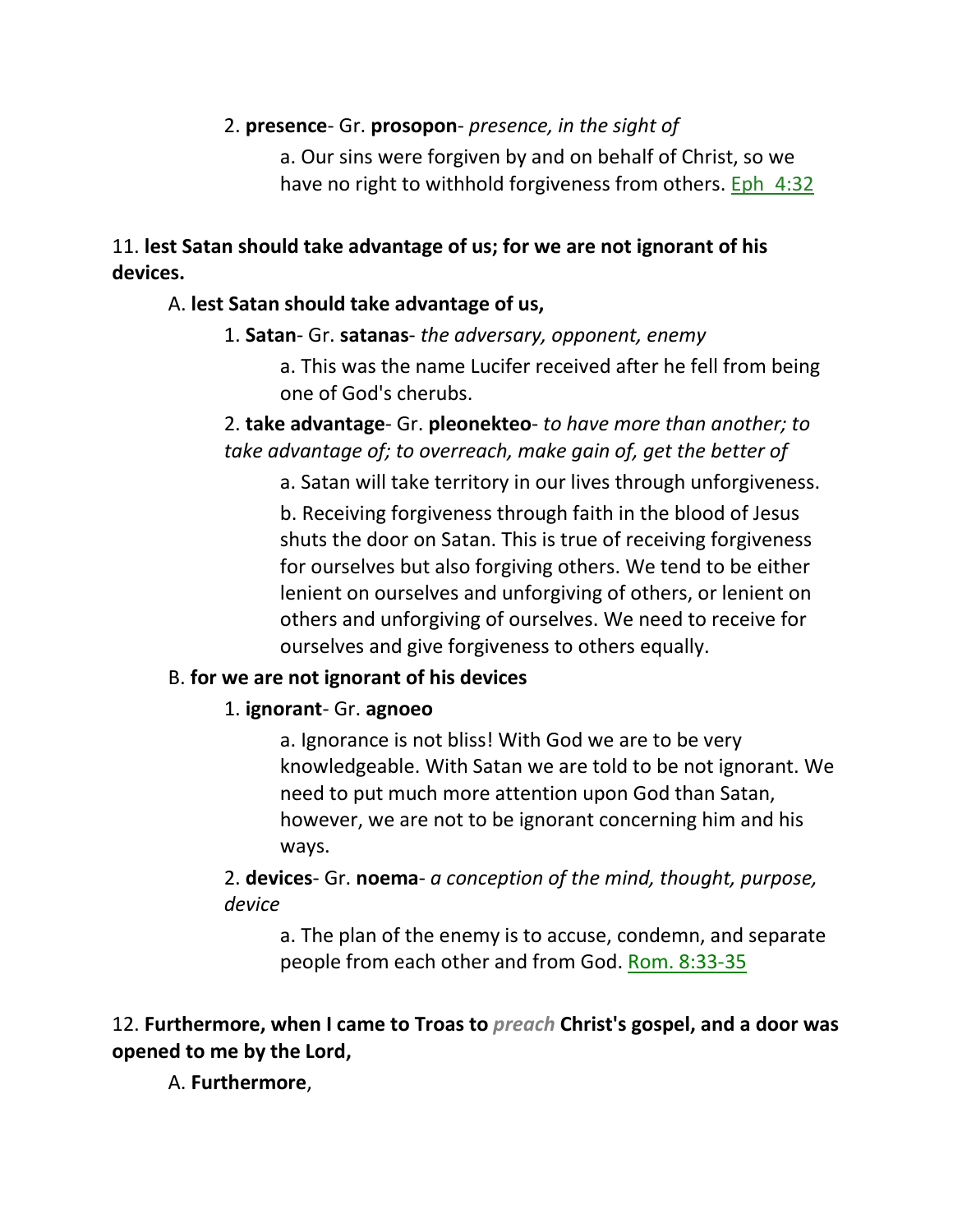### 2. **presence**- Gr. **prosopon**- *presence, in the sight of*

a. Our sins were forgiven by and on behalf of Christ, so we have no right to withhold forgiveness from others. Eph 4:32

### 11. **lest Satan should take advantage of us; for we are not ignorant of his devices.**

### A. **lest Satan should take advantage of us,**

# 1. **Satan**- Gr. **satanas**- *the adversary, opponent, enemy*

a. This was the name Lucifer received after he fell from being one of God's cherubs.

2. **take advantage**- Gr. **pleonekteo**- *to have more than another; to take advantage of; to overreach, make gain of, get the better of*

a. Satan will take territory in our lives through unforgiveness. b. Receiving forgiveness through faith in the blood of Jesus shuts the door on Satan. This is true of receiving forgiveness for ourselves but also forgiving others. We tend to be either lenient on ourselves and unforgiving of others, or lenient on others and unforgiving of ourselves. We need to receive for ourselves and give forgiveness to others equally.

# B. **for we are not ignorant of his devices**

# 1. **ignorant**- Gr. **agnoeo**

a. Ignorance is not bliss! With God we are to be very knowledgeable. With Satan we are told to be not ignorant. We need to put much more attention upon God than Satan, however, we are not to be ignorant concerning him and his ways.

2. **devices**- Gr. **noema**- *a conception of the mind, thought, purpose, device*

a. The plan of the enemy is to accuse, condemn, and separate people from each other and from God. Rom. 8:33-35

# 12. **Furthermore, when I came to Troas to** *preach* **Christ's gospel, and a door was opened to me by the Lord,**

# A. **Furthermore**,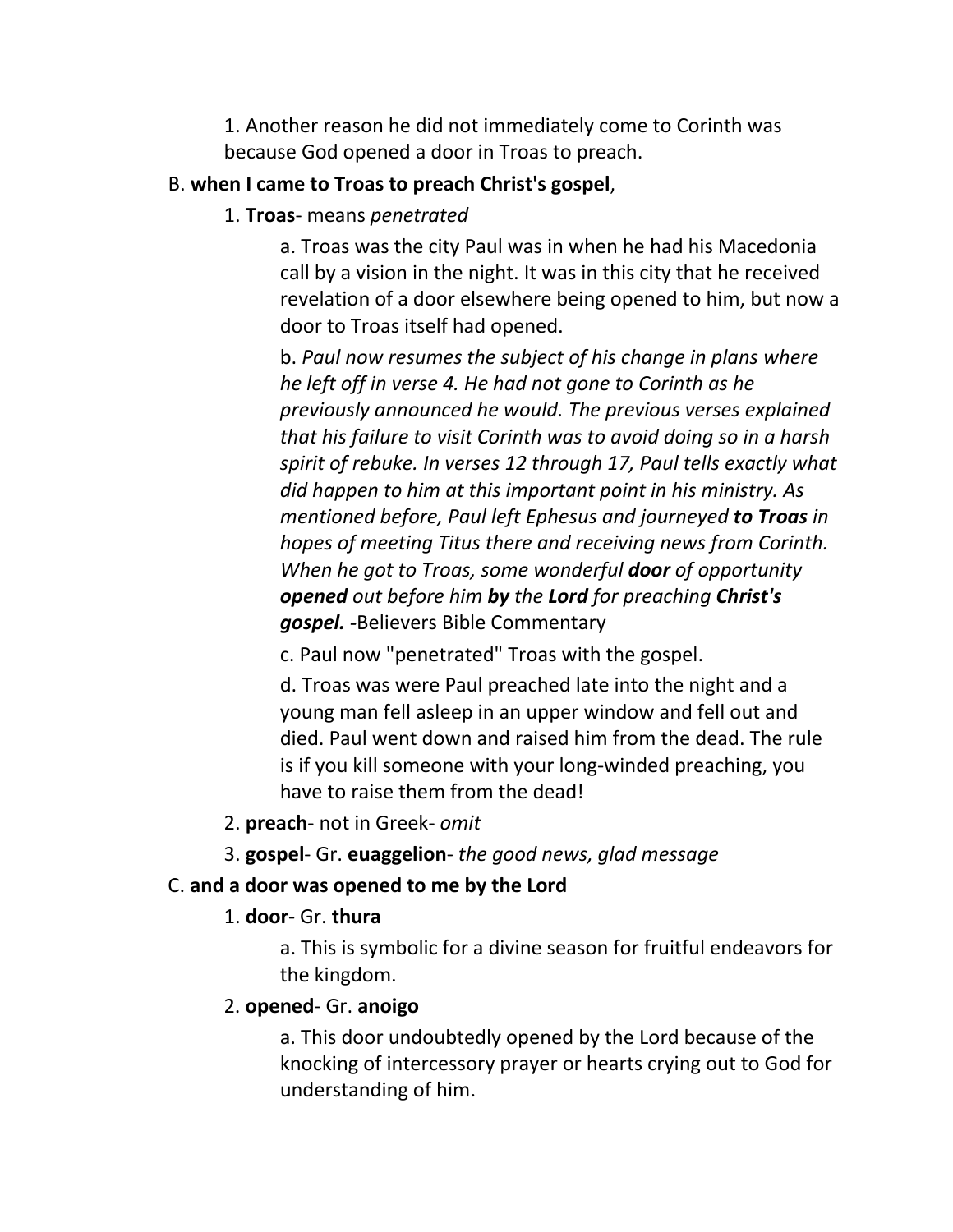1. Another reason he did not immediately come to Corinth was because God opened a door in Troas to preach.

#### B. **when I came to Troas to preach Christ's gospel**,

1. **Troas**- means *penetrated*

a. Troas was the city Paul was in when he had his Macedonia call by a vision in the night. It was in this city that he received revelation of a door elsewhere being opened to him, but now a door to Troas itself had opened.

b. *Paul now resumes the subject of his change in plans where he left off in verse 4. He had not gone to Corinth as he previously announced he would. The previous verses explained that his failure to visit Corinth was to avoid doing so in a harsh spirit of rebuke. In verses 12 through 17, Paul tells exactly what did happen to him at this important point in his ministry. As mentioned before, Paul left Ephesus and journeyed to Troas in hopes of meeting Titus there and receiving news from Corinth. When he got to Troas, some wonderful door of opportunity opened out before him by the Lord for preaching Christ's gospel. -*Believers Bible Commentary

c. Paul now "penetrated" Troas with the gospel.

d. Troas was were Paul preached late into the night and a young man fell asleep in an upper window and fell out and died. Paul went down and raised him from the dead. The rule is if you kill someone with your long-winded preaching, you have to raise them from the dead!

2. **preach**- not in Greek- *omit*

3. **gospel**- Gr. **euaggelion**- *the good news, glad message*

### C. **and a door was opened to me by the Lord**

#### 1. **door**- Gr. **thura**

a. This is symbolic for a divine season for fruitful endeavors for the kingdom.

#### 2. **opened**- Gr. **anoigo**

a. This door undoubtedly opened by the Lord because of the knocking of intercessory prayer or hearts crying out to God for understanding of him.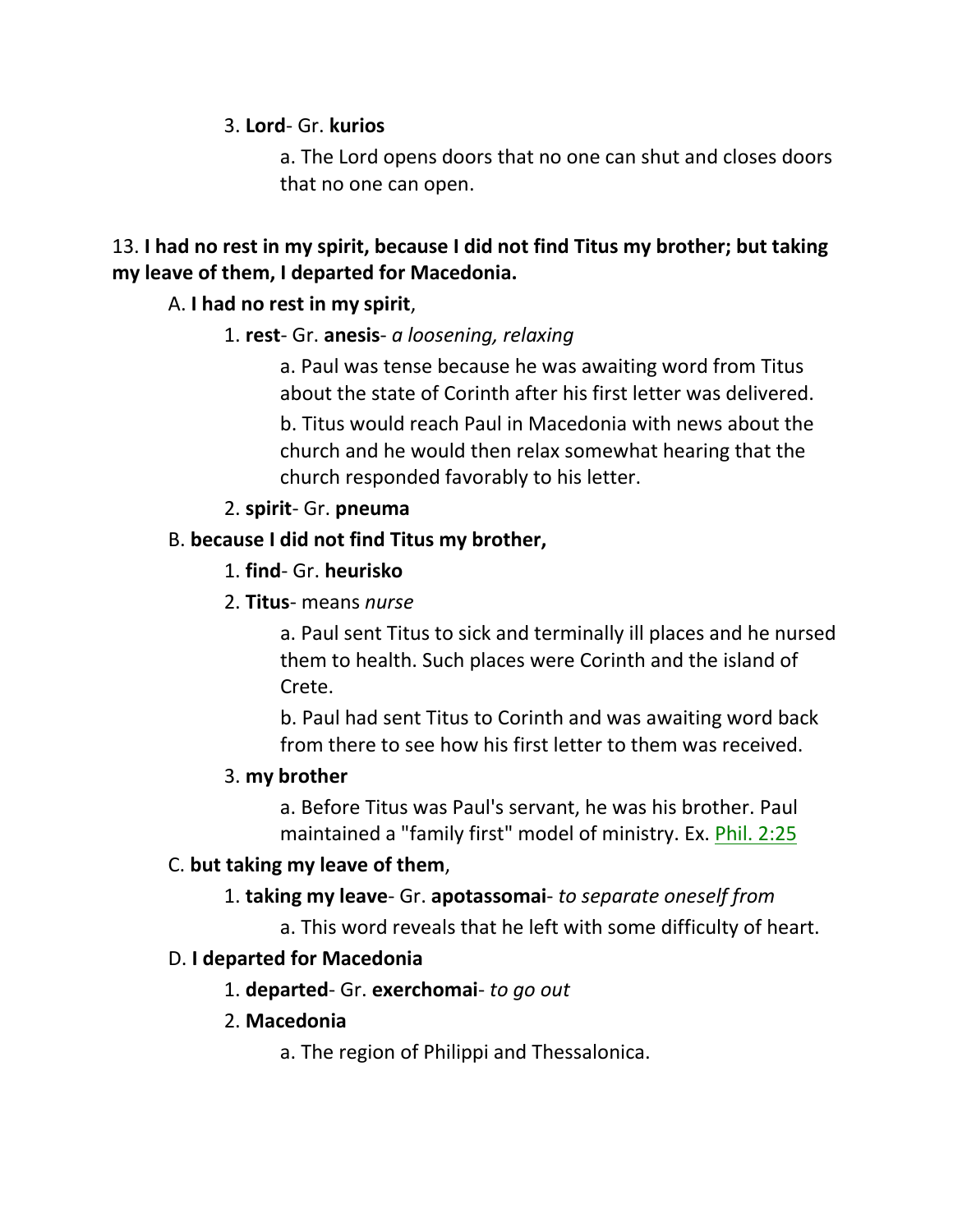3. **Lord**- Gr. **kurios**

a. The Lord opens doors that no one can shut and closes doors that no one can open.

# 13. **I had no rest in my spirit, because I did not find Titus my brother; but taking my leave of them, I departed for Macedonia.**

# A. **I had no rest in my spirit**,

### 1. **rest**- Gr. **anesis**- *a loosening, relaxing*

a. Paul was tense because he was awaiting word from Titus about the state of Corinth after his first letter was delivered.

b. Titus would reach Paul in Macedonia with news about the church and he would then relax somewhat hearing that the church responded favorably to his letter.

# 2. **spirit**- Gr. **pneuma**

# B. **because I did not find Titus my brother,**

### 1. **find**- Gr. **heurisko**

2. **Titus**- means *nurse*

a. Paul sent Titus to sick and terminally ill places and he nursed them to health. Such places were Corinth and the island of Crete.

b. Paul had sent Titus to Corinth and was awaiting word back from there to see how his first letter to them was received.

# 3. **my brother**

a. Before Titus was Paul's servant, he was his brother. Paul maintained a "family first" model of ministry. Ex. Phil. 2:25

# C. **but taking my leave of them**,

# 1. **taking my leave**- Gr. **apotassomai**- *to separate oneself from*

a. This word reveals that he left with some difficulty of heart.

# D. **I departed for Macedonia**

1. **departed**- Gr. **exerchomai**- *to go out*

# 2. **Macedonia**

a. The region of Philippi and Thessalonica.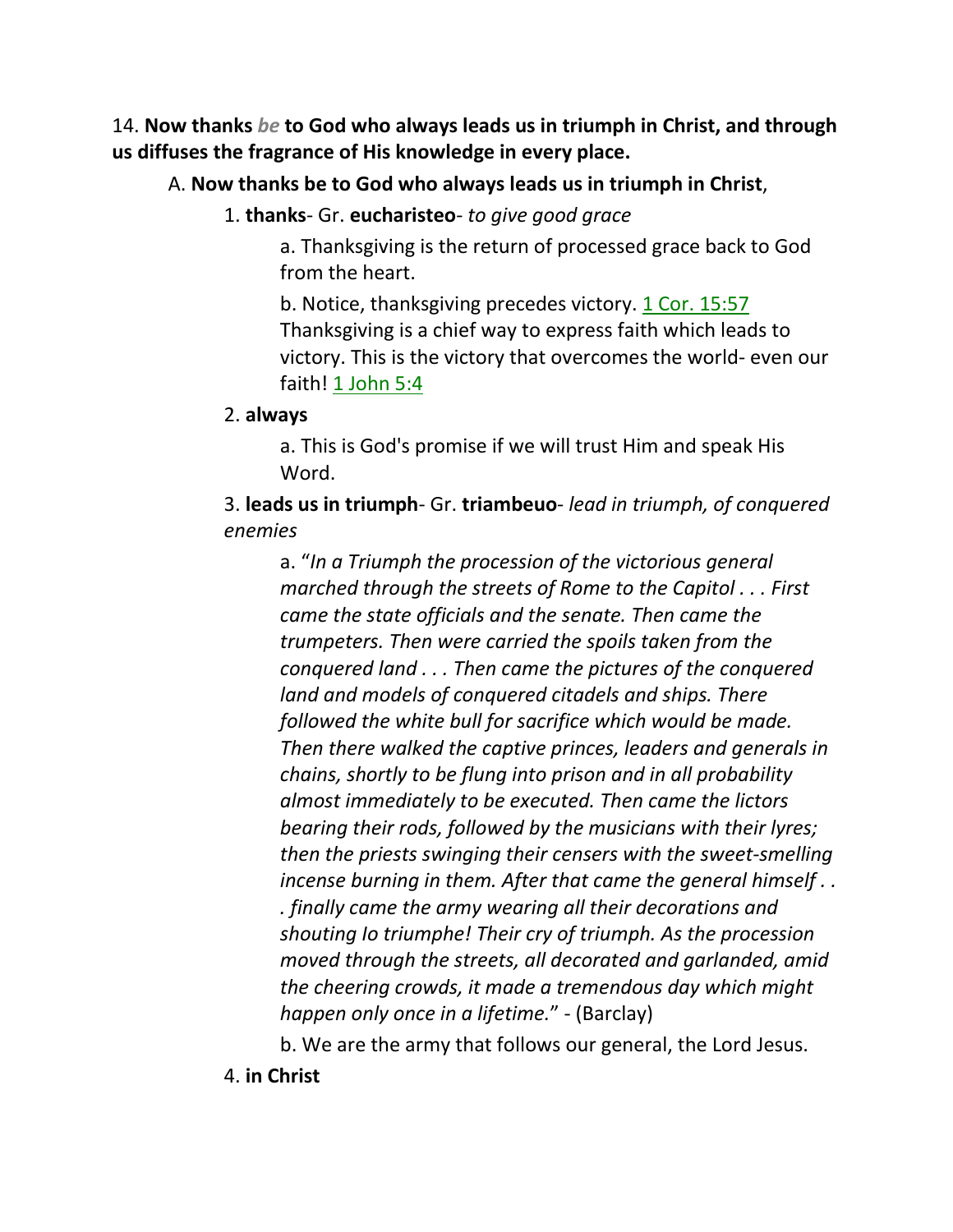14. **Now thanks** *be* **to God who always leads us in triumph in Christ, and through us diffuses the fragrance of His knowledge in every place.** 

# A. **Now thanks be to God who always leads us in triumph in Christ**,

### 1. **thanks**- Gr. **eucharisteo**- *to give good grace*

a. Thanksgiving is the return of processed grace back to God from the heart.

b. Notice, thanksgiving precedes victory. 1 Cor. 15:57 Thanksgiving is a chief way to express faith which leads to victory. This is the victory that overcomes the world- even our faith! 1 John 5:4

#### 2. **always**

a. This is God's promise if we will trust Him and speak His Word.

3. **leads us in triumph**- Gr. **triambeuo**- *lead in triumph, of conquered enemies*

a. "*In a Triumph the procession of the victorious general marched through the streets of Rome to the Capitol . . . First came the state officials and the senate. Then came the trumpeters. Then were carried the spoils taken from the conquered land . . . Then came the pictures of the conquered land and models of conquered citadels and ships. There followed the white bull for sacrifice which would be made. Then there walked the captive princes, leaders and generals in chains, shortly to be flung into prison and in all probability almost immediately to be executed. Then came the lictors bearing their rods, followed by the musicians with their lyres; then the priests swinging their censers with the sweet-smelling incense burning in them. After that came the general himself . . . finally came the army wearing all their decorations and shouting Io triumphe! Their cry of triumph. As the procession moved through the streets, all decorated and garlanded, amid the cheering crowds, it made a tremendous day which might happen only once in a lifetime.*" - (Barclay)

b. We are the army that follows our general, the Lord Jesus.

4. **in Christ**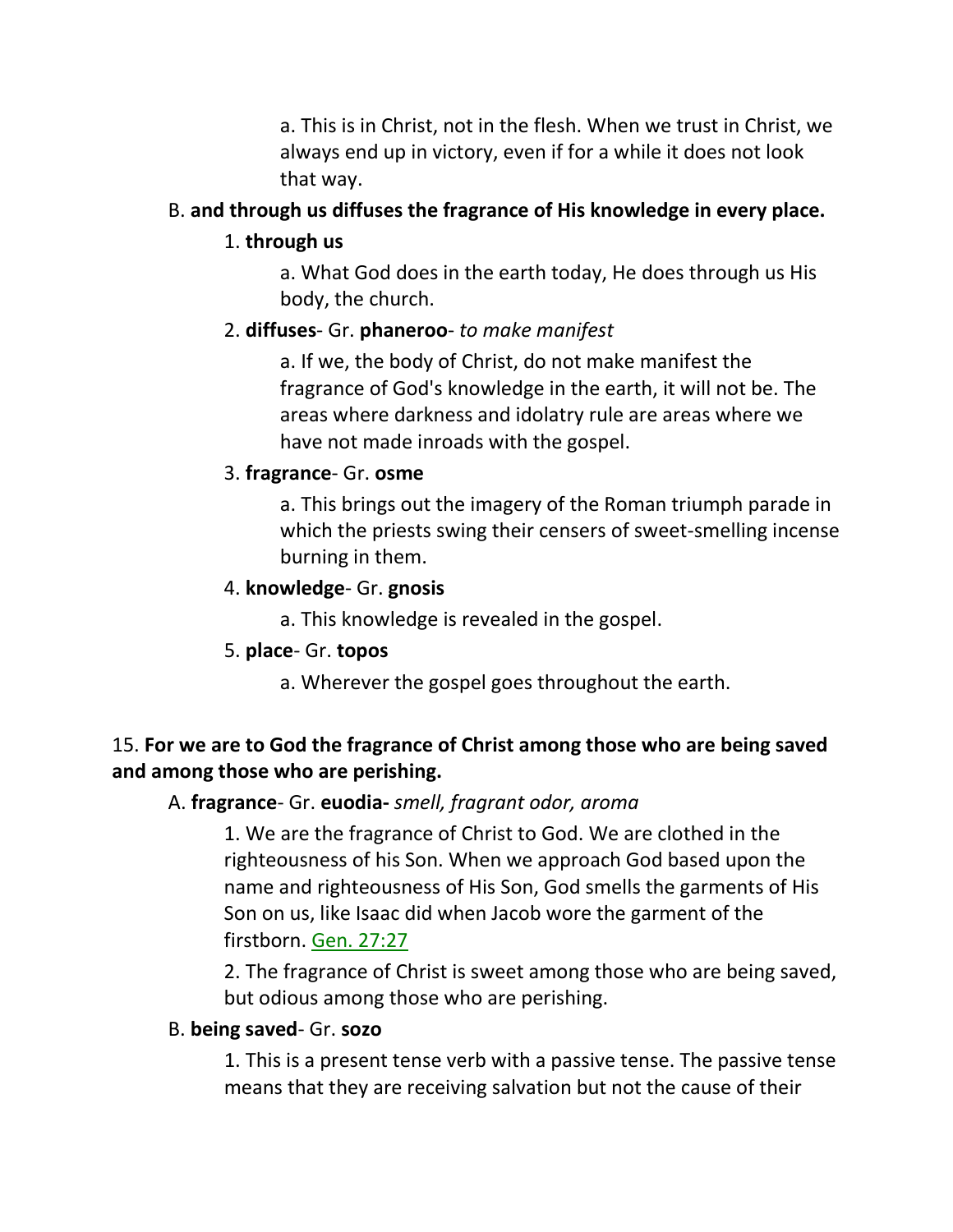a. This is in Christ, not in the flesh. When we trust in Christ, we always end up in victory, even if for a while it does not look that way.

### B. **and through us diffuses the fragrance of His knowledge in every place.**

### 1. **through us**

a. What God does in the earth today, He does through us His body, the church.

### 2. **diffuses**- Gr. **phaneroo**- *to make manifest*

a. If we, the body of Christ, do not make manifest the fragrance of God's knowledge in the earth, it will not be. The areas where darkness and idolatry rule are areas where we have not made inroads with the gospel.

#### 3. **fragrance**- Gr. **osme**

a. This brings out the imagery of the Roman triumph parade in which the priests swing their censers of sweet-smelling incense burning in them.

#### 4. **knowledge**- Gr. **gnosis**

a. This knowledge is revealed in the gospel.

### 5. **place**- Gr. **topos**

a. Wherever the gospel goes throughout the earth.

# 15. **For we are to God the fragrance of Christ among those who are being saved and among those who are perishing.**

### A. **fragrance**- Gr. **euodia-** *smell, fragrant odor, aroma*

1. We are the fragrance of Christ to God. We are clothed in the righteousness of his Son. When we approach God based upon the name and righteousness of His Son, God smells the garments of His Son on us, like Isaac did when Jacob wore the garment of the firstborn. Gen. 27:27

2. The fragrance of Christ is sweet among those who are being saved, but odious among those who are perishing.

#### B. **being saved**- Gr. **sozo**

1. This is a present tense verb with a passive tense. The passive tense means that they are receiving salvation but not the cause of their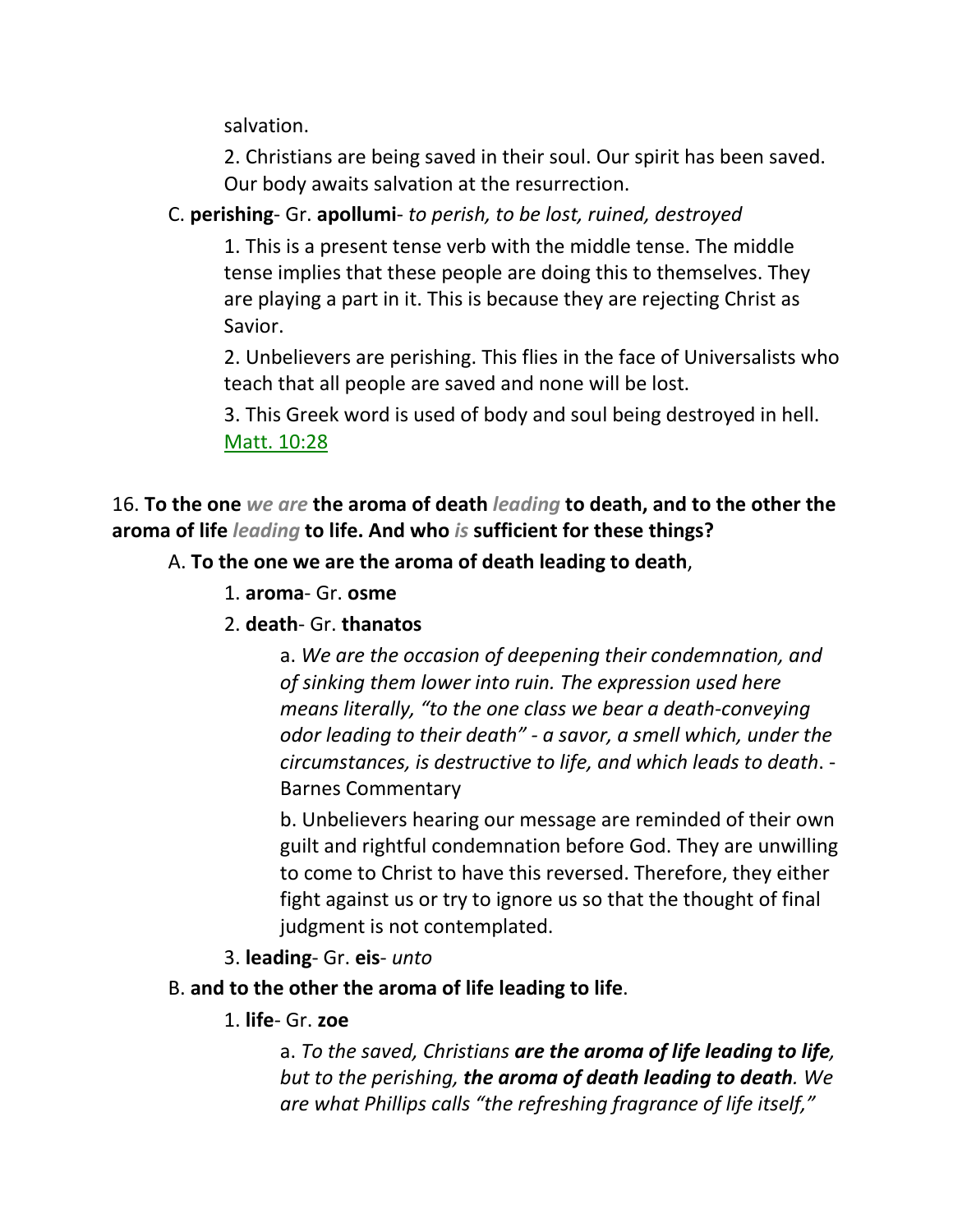salvation.

2. Christians are being saved in their soul. Our spirit has been saved. Our body awaits salvation at the resurrection.

# C. **perishing**- Gr. **apollumi**- *to perish, to be lost, ruined, destroyed*

1. This is a present tense verb with the middle tense. The middle tense implies that these people are doing this to themselves. They are playing a part in it. This is because they are rejecting Christ as Savior.

2. Unbelievers are perishing. This flies in the face of Universalists who teach that all people are saved and none will be lost.

3. This Greek word is used of body and soul being destroyed in hell. Matt. 10:28

16. **To the one** *we are* **the aroma of death** *leading* **to death, and to the other the aroma of life** *leading* **to life. And who** *is* **sufficient for these things?** 

# A. **To the one we are the aroma of death leading to death**,

- 1. **aroma** Gr. **osme**
- 2. **death** Gr. **thanatos**

a. *We are the occasion of deepening their condemnation, and of sinking them lower into ruin. The expression used here means literally, "to the one class we bear a death-conveying odor leading to their death" - a savor, a smell which, under the circumstances, is destructive to life, and which leads to death*. - Barnes Commentary

b. Unbelievers hearing our message are reminded of their own guilt and rightful condemnation before God. They are unwilling to come to Christ to have this reversed. Therefore, they either fight against us or try to ignore us so that the thought of final judgment is not contemplated.

3. **leading**- Gr. **eis**- *unto*

# B. **and to the other the aroma of life leading to life**.

1. **life**- Gr. **zoe**

a. *To the saved, Christians are the aroma of life leading to life, but to the perishing, the aroma of death leading to death. We are what Phillips calls "the refreshing fragrance of life itself,"*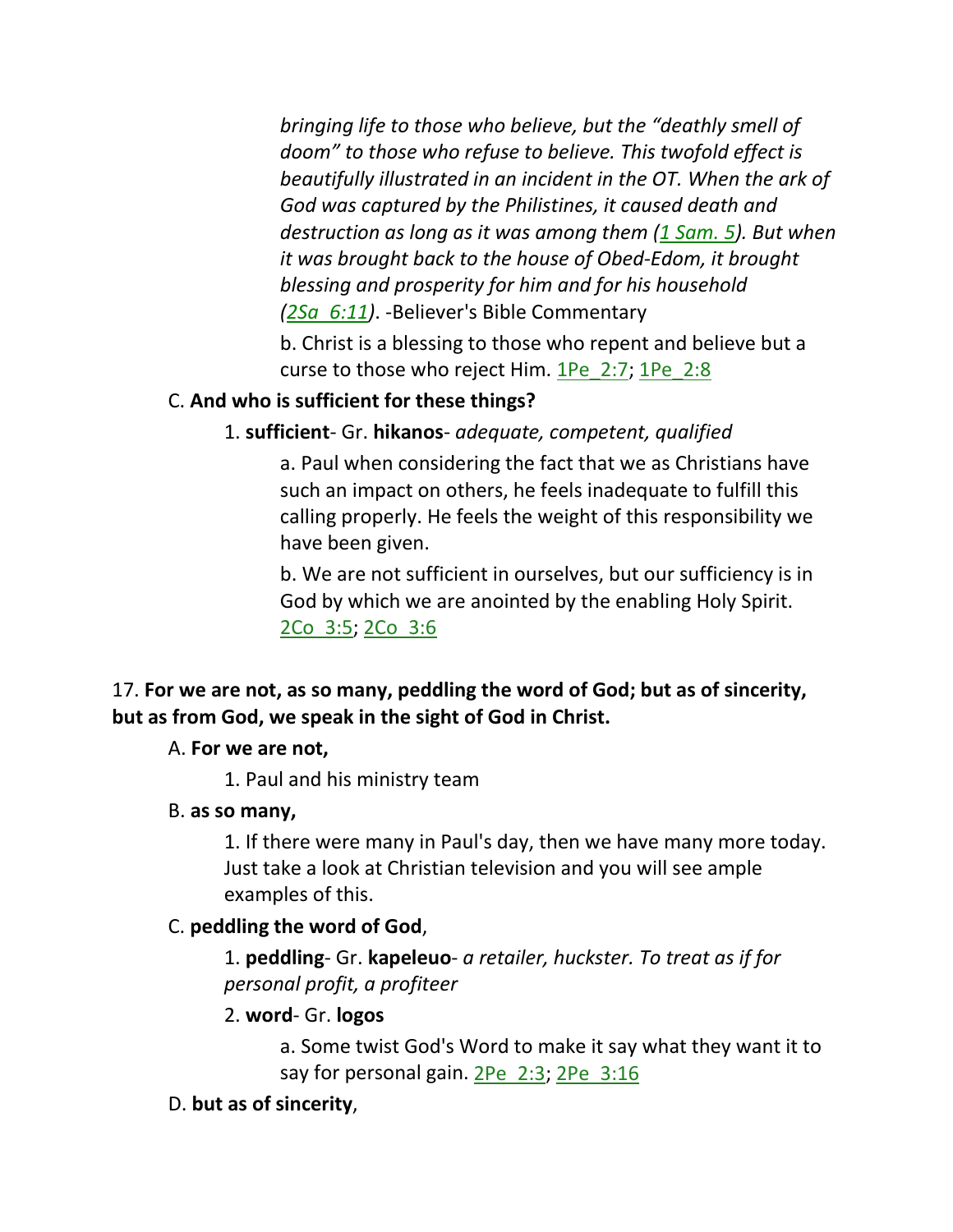*bringing life to those who believe, but the "deathly smell of doom" to those who refuse to believe. This twofold effect is beautifully illustrated in an incident in the OT. When the ark of God was captured by the Philistines, it caused death and destruction as long as it was among them (1 Sam. 5). But when it was brought back to the house of Obed-Edom, it brought blessing and prosperity for him and for his household (2Sa\_6:11)*. -Believer's Bible Commentary

b. Christ is a blessing to those who repent and believe but a curse to those who reject Him. 1Pe\_2:7; 1Pe\_2:8

# C. **And who is sufficient for these things?**

# 1. **sufficient**- Gr. **hikanos**- *adequate, competent, qualified*

a. Paul when considering the fact that we as Christians have such an impact on others, he feels inadequate to fulfill this calling properly. He feels the weight of this responsibility we have been given.

b. We are not sufficient in ourselves, but our sufficiency is in God by which we are anointed by the enabling Holy Spirit. 2Co\_3:5; 2Co\_3:6

# 17. **For we are not, as so many, peddling the word of God; but as of sincerity, but as from God, we speak in the sight of God in Christ.**

### A. **For we are not,**

1. Paul and his ministry team

### B. **as so many,**

1. If there were many in Paul's day, then we have many more today. Just take a look at Christian television and you will see ample examples of this.

# C. **peddling the word of God**,

1. **peddling**- Gr. **kapeleuo**- *a retailer, huckster. To treat as if for personal profit, a profiteer*

### 2. **word**- Gr. **logos**

a. Some twist God's Word to make it say what they want it to say for personal gain. 2Pe 2:3; 2Pe 3:16

### D. **but as of sincerity**,